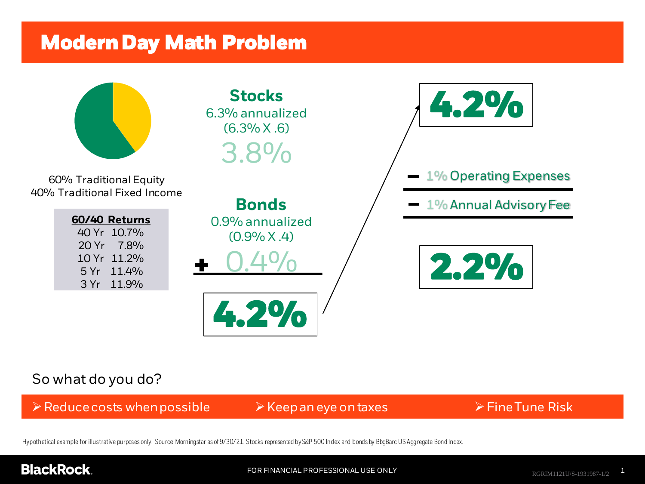## **ModernDay Math Problem**



### So what do you do?

➢Reducecosts whenpossible ➢Keepaneye ontaxes ➢FineTune Risk

Hypothetical example for illustrative purposes only. Source: Morningstar as of 9/30/21. Stocks represented by S&P 500 Index and bonds by BbgBarc US Aggregate Bond Index.

### **BlackRock.**

FOR FINANCIAL PROFESSIONAL USE ONLY **1** RGRIM1121U/S-1931987-1/2 **1**